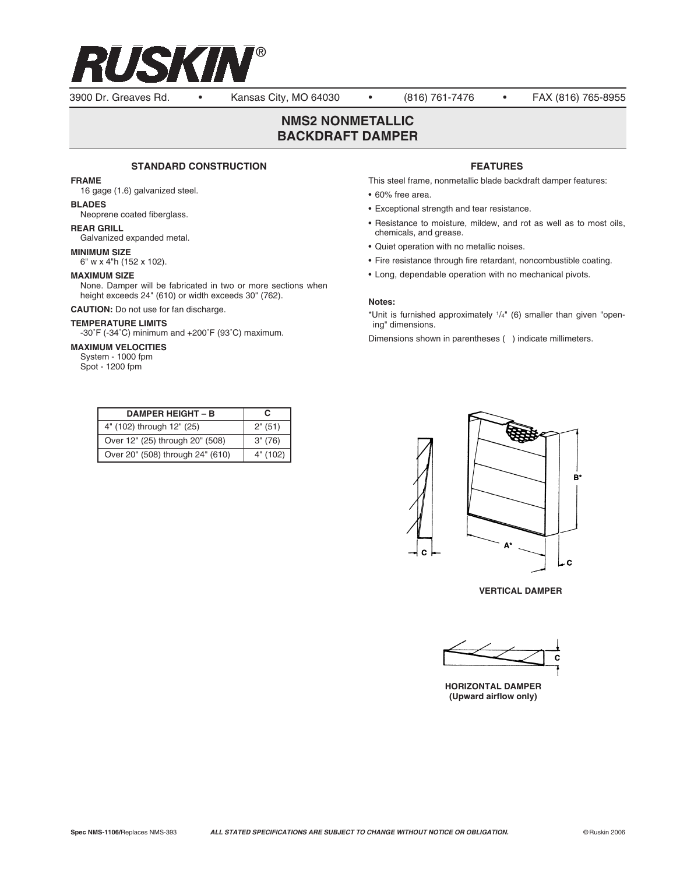

3900 Dr. Greaves Rd. • Kansas City, MO 64030 • (816) 761-7476 • FAX (816) 765-8955

# **NMS2 NONMETALLIC BACKDRAFT DAMPER**

### **STANDARD CONSTRUCTION**

### **FRAME**

16 gage (1.6) galvanized steel.

# **BLADES**

Neoprene coated fiberglass.

## **REAR GRILL**

Galvanized expanded metal.

### **MINIMUM SIZE**

6" w x 4"h (152 x 102).

## **MAXIMUM SIZE**

None. Damper will be fabricated in two or more sections when height exceeds 24" (610) or width exceeds 30" (762).

**CAUTION:** Do not use for fan discharge.

#### **TEMPERATURE LIMITS**

-30˚F (-34˚C) minimum and +200˚F (93˚C) maximum.

#### **MAXIMUM VELOCITIES**

System - 1000 fpm Spot - 1200 fpm

| <b>DAMPER HEIGHT - B</b>         | С        |
|----------------------------------|----------|
| 4" (102) through 12" (25)        | 2" (51)  |
| Over 12" (25) through 20" (508)  | 3" (76)  |
| Over 20" (508) through 24" (610) | 4" (102) |

## **FEATURES**

This steel frame, nonmetallic blade backdraft damper features:

- 60% free area.
- Exceptional strength and tear resistance.
- Resistance to moisture, mildew, and rot as well as to most oils, chemicals, and grease.
- Quiet operation with no metallic noises.
- Fire resistance through fire retardant, noncombustible coating.
- Long, dependable operation with no mechanical pivots.

#### **Notes:**

\*Unit is furnished approximately  $1/4$ " (6) smaller than given "opening" dimensions.

Dimensions shown in parentheses ( ) indicate millimeters.



**VERTICAL DAMPER**



**HORIZONTAL DAMPER (Upward airflow only)**